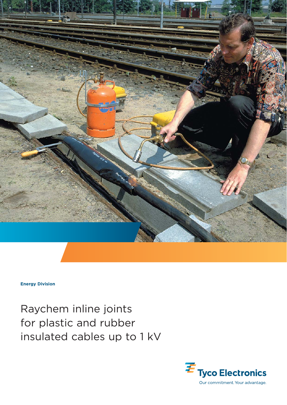

**Energy Division**

Raychem inline joints for plastic and rubber insulated cables up to 1 kV

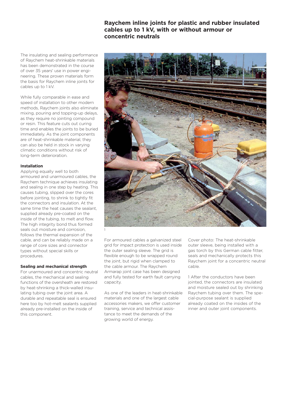# **Raychem inline joints for plastic and rubber insulated cables up to 1 kV, with or without armour or concentric neutrals**

The insulating and sealing performance of Raychem heat-shrinkable materials has been demonstrated in the course of over 35 years' use in power engineering. These proven materials form the basis for Raychem inline joints for cables up to 1 kV.

While fully comparable in ease and speed of installation to other modern methods, Raychem joints also eliminate mixing, pouring and topping-up delays, as they require no jointing compound or resin. This feature cuts out curing time and enables the joints to be buried immediately. As the joint components are of heat-shrinkable material, they can also be held in stock in varying climatic conditions without risk of long-term deterioration.

### **Installation**

Applying equally well to both armoured and unarmoured cables, the Raychem technique achieves insulating and sealing in one step by heating. This causes tubing, slipped over the cores before jointing, to shrink to tightly fit the connectors and insulation. At the same time the heat causes the sealant, supplied already pre-coated on the inside of the tubing, to melt and flow. The high integrity bond thus formed seals out moisture and corrosion, follows the thermal expansion of the cable, and can be reliably made on a range of core sizes and connector types without special skills or procedures.

#### **Sealing and mechanical strength**

For unarmoured and concentric neutral cables, the mechanical and sealing functions of the oversheath are restored by heat-shrinking a thick-walled insulating tubing over the joint area. A durable and repeatable seal is ensured here too by hot-melt sealants supplied already pre-installed on the inside of this component.



For armoured cables a galvanized steel grid for impact protection is used inside the outer sealing sleeve. The grid is flexible enough to be wrapped round the joint, but rigid when clamped to the cable armour. The Raychem Armarap joint case has been designed and fully tested for earth fault carrying capacity.

As one of the leaders in heat-shrinkable materials and one of the largest cable accessories makers, we offer customer training, service and technical assistance to meet the demands of the growing world of energy.

Cover photo: The heat-shrinkable outer sleeve, being installed with a gas torch by this German cable fitter, seals and mechanically protects this Raychem joint for a concentric neutral cable.

1 After the conductors have been jointed, the connectors are insulated and moisture sealed out by shrinking Raychem tubing over them. The special-purpose sealant is supplied already coated on the insides of the inner and outer joint components.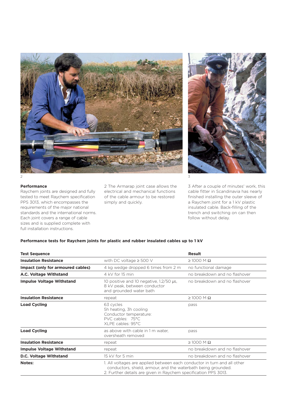



## **Performance**

Raychem joints are designed and fully tested to meet Raychem specification PPS 3013, which encompasses the requirements of the major national standards and the international norms. Each joint covers a range of cable sizes and is supplied complete with full installation instructions.

2 The Armarap joint case allows the electrical and mechanical functions of the cable armour to be restored simply and quickly.

3 After a couple of minutes' work, this cable fitter in Scandinavia has nearly finished installing the outer sleeve of a Raychem joint for a 1 kV plastic insulated cable. Back-filling of the trench and switching on can then follow without delay.

## **Performance tests for Raychem joints for plastic and rubber insulated cables up to 1 kV**

| <b>Test Sequence</b>              |                                                                                                                                                                                                              | <b>Result</b>                 |
|-----------------------------------|--------------------------------------------------------------------------------------------------------------------------------------------------------------------------------------------------------------|-------------------------------|
| <b>Insulation Resistance</b>      | with DC voltage $\geq$ 500 V                                                                                                                                                                                 | $\geq$ 1000 M $\Omega$        |
| Impact (only for armoured cables) | 4 kg wedge dropped 6 times from 2 m                                                                                                                                                                          | no functional damage          |
| A.C. Voltage Withstand            | 4 kV for 15 min                                                                                                                                                                                              | no breakdown and no flashover |
| <b>Impulse Voltage Withstand</b>  | 10 positive and 10 negative, 1.2/50 µs,<br>8 kV peak, between conductor<br>and grounded water bath                                                                                                           | no breakdown and no flashover |
| <b>Insulation Resistance</b>      | repeat                                                                                                                                                                                                       | $\geq$ 1000 M $\Omega$        |
| <b>Load Cycling</b>               | 63 cycles<br>5h heating, 3h cooling<br>Conductor temperature:<br>PVC cables: 75°C<br>XLPE cables: 95°C                                                                                                       | pass                          |
| <b>Load Cycling</b>               | as above with cable in 1 m water,<br>oversheath removed                                                                                                                                                      | pass                          |
| <b>Insulation Resistance</b>      | repeat                                                                                                                                                                                                       | $\geq$ 1000 M $\Omega$        |
| <b>Impulse Voltage Withstand</b>  | repeat                                                                                                                                                                                                       | no breakdown and no flashover |
| D.C. Voltage Withstand            | 15 kV for 5 min                                                                                                                                                                                              | no breakdown and no flashover |
| <b>Notes:</b>                     | 1. All voltages are applied between each conductor in turn and all other<br>conductors, shield, armour, and the waterbath being grounded.<br>2. Further details are given in Raychem specification PPS 3013. |                               |